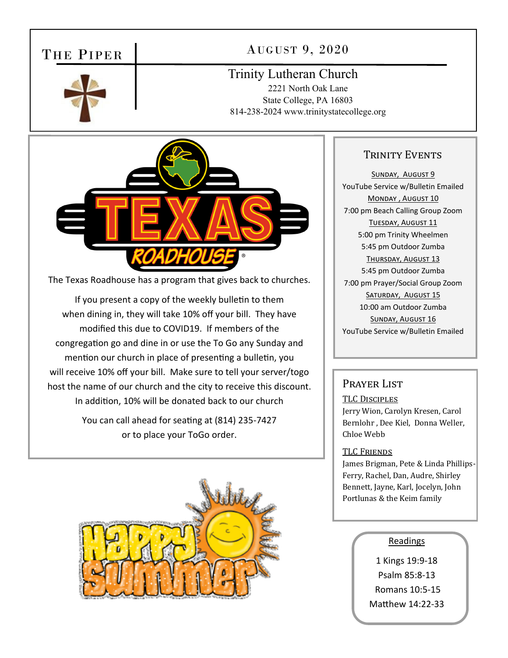# THE PIPER



AUGUST 9, 2020

## Trinity Lutheran Church 2221 North Oak Lane

 State College, PA 16803 814-238-2024 www.trinitystatecollege.org



The Texas Roadhouse has a program that gives back to churches.

If you present a copy of the weekly bulletin to them when dining in, they will take 10% off your bill. They have modified this due to COVID19. If members of the congregation go and dine in or use the To Go any Sunday and mention our church in place of presenting a bulletin, you will receive 10% off your bill. Make sure to tell your server/togo host the name of our church and the city to receive this discount. In addition, 10% will be donated back to our church

> You can call ahead for seating at (814) 235-7427 or to place your ToGo order.



### TRINITY EVENTS

SUNDAY, AUGUST 9 YouTube Service w/Bulletin Emailed MONDAY, AUGUST 10 7:00 pm Beach Calling Group Zoom TUESDAY, AUGUST 11 5:00 pm Trinity Wheelmen 5:45 pm Outdoor Zumba THURSDAY, AUGUST 13 5:45 pm Outdoor Zumba 7:00 pm Prayer/Social Group Zoom SATURDAY, AUGUST 15 10:00 am Outdoor Zumba SUNDAY, AUGUST 16 YouTube Service w/Bulletin Emailed

## Prayer List

#### TLC DISCIPLES

Jerry Wion, Carolyn Kresen, Carol Bernlohr , Dee Kiel, Donna Weller, Chloe Webb

#### TLC FRIENDS

James Brigman, Pete & Linda Phillips-Ferry, Rachel, Dan, Audre, Shirley Bennett, Jayne, Karl, Jocelyn, John Portlunas & the Keim family

#### Readings

1 Kings 19:9‐18 Psalm 85:8‐13 Romans 10:5‐15 Matthew 14:22-33